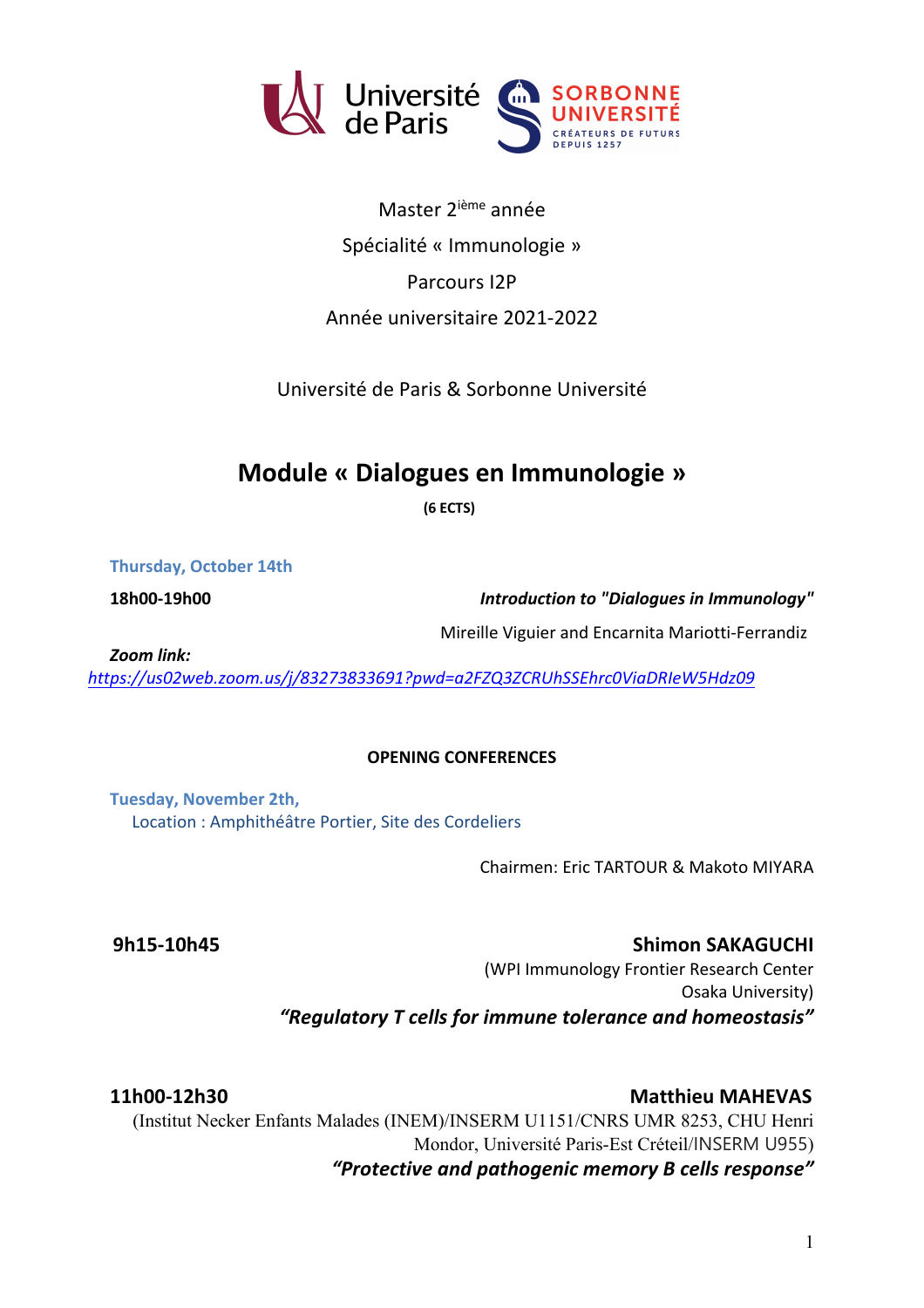

Master 2ième année Spécialité « Immunologie » Parcours I2P Année universitaire 2021-2022

Université de Paris & Sorbonne Université

## **Module « Dialogues en Immunologie »**

**(6 ECTS)**

**Thursday, October 14th**

**18h00-19h00** *Introduction to "Dialogues in Immunology"*

Mireille Viguier and Encarnita Mariotti-Ferrandiz

*Zoom link:* 

*https://us02web.zoom.us/j/83273833691?pwd=a2FZQ3ZCRUhSSEhrc0ViaDRIeW5Hdz09*

## **OPENING CONFERENCES**

**Tuesday, November 2th,**  Location : Amphithéâtre Portier, Site des Cordeliers

Chairmen: Eric TARTOUR & Makoto MIYARA

**9h15-10h45** Shimon SAKAGUCHI (WPI Immunology Frontier Research Center Osaka University) *"Regulatory T cells for immune tolerance and homeostasis"*

**11h00-12h30 Matthieu MAHEVAS** (Institut Necker Enfants Malades (INEM)/INSERM U1151/CNRS UMR 8253, CHU Henri Mondor, Université Paris-Est Créteil/INSERM U955) *"Protective and pathogenic memory B cells response"*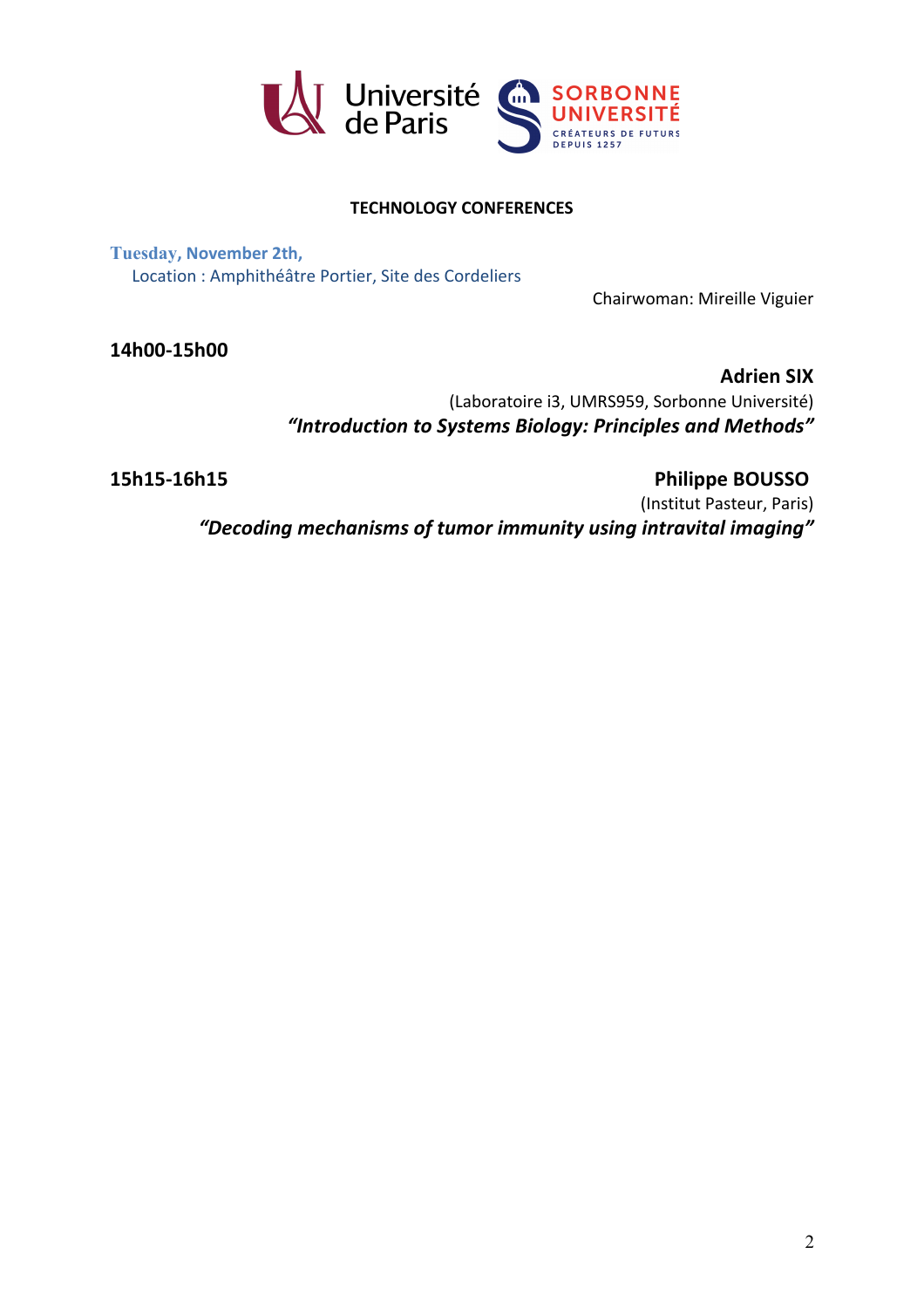

## **TECHNOLOGY CONFERENCES**

**Tuesday, November 2th,**  Location : Amphithéâtre Portier, Site des Cordeliers

Chairwoman: Mireille Viguier

**14h00-15h00** 

**Adrien SIX**

(Laboratoire i3, UMRS959, Sorbonne Université) *"Introduction to Systems Biology: Principles and Methods"*

**15h15-16h15 Philippe BOUSSO**

(Institut Pasteur, Paris) *"Decoding mechanisms of tumor immunity using intravital imaging"*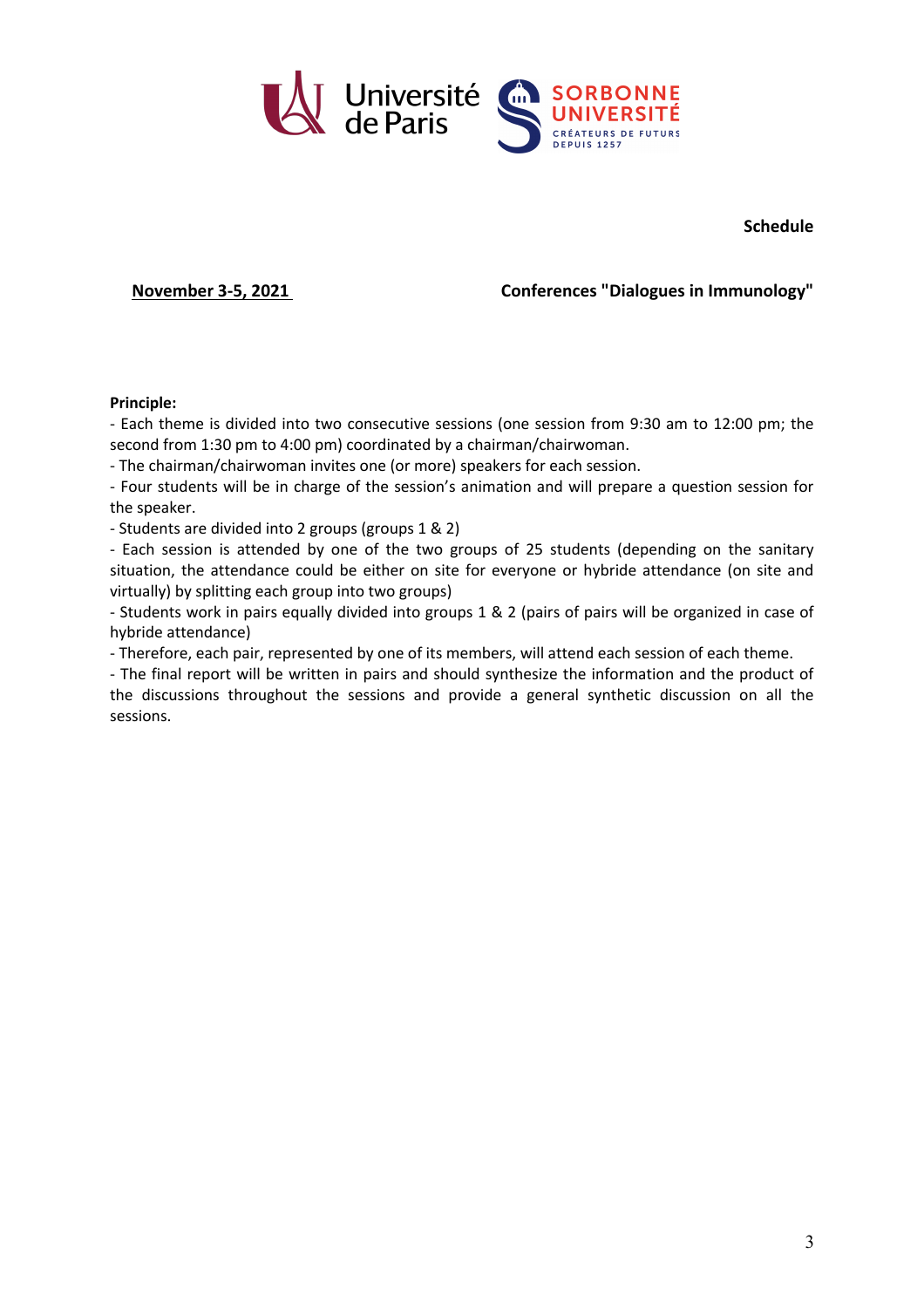

**Schedule**

**November 3-5, 2021 Conferences "Dialogues in Immunology"**

## **Principle:**

- Each theme is divided into two consecutive sessions (one session from 9:30 am to 12:00 pm; the second from 1:30 pm to 4:00 pm) coordinated by a chairman/chairwoman.

- The chairman/chairwoman invites one (or more) speakers for each session.

- Four students will be in charge of the session's animation and will prepare a question session for the speaker.

- Students are divided into 2 groups (groups 1 & 2)

- Each session is attended by one of the two groups of 25 students (depending on the sanitary situation, the attendance could be either on site for everyone or hybride attendance (on site and virtually) by splitting each group into two groups)

- Students work in pairs equally divided into groups 1 & 2 (pairs of pairs will be organized in case of hybride attendance)

- Therefore, each pair, represented by one of its members, will attend each session of each theme.

- The final report will be written in pairs and should synthesize the information and the product of the discussions throughout the sessions and provide a general synthetic discussion on all the sessions.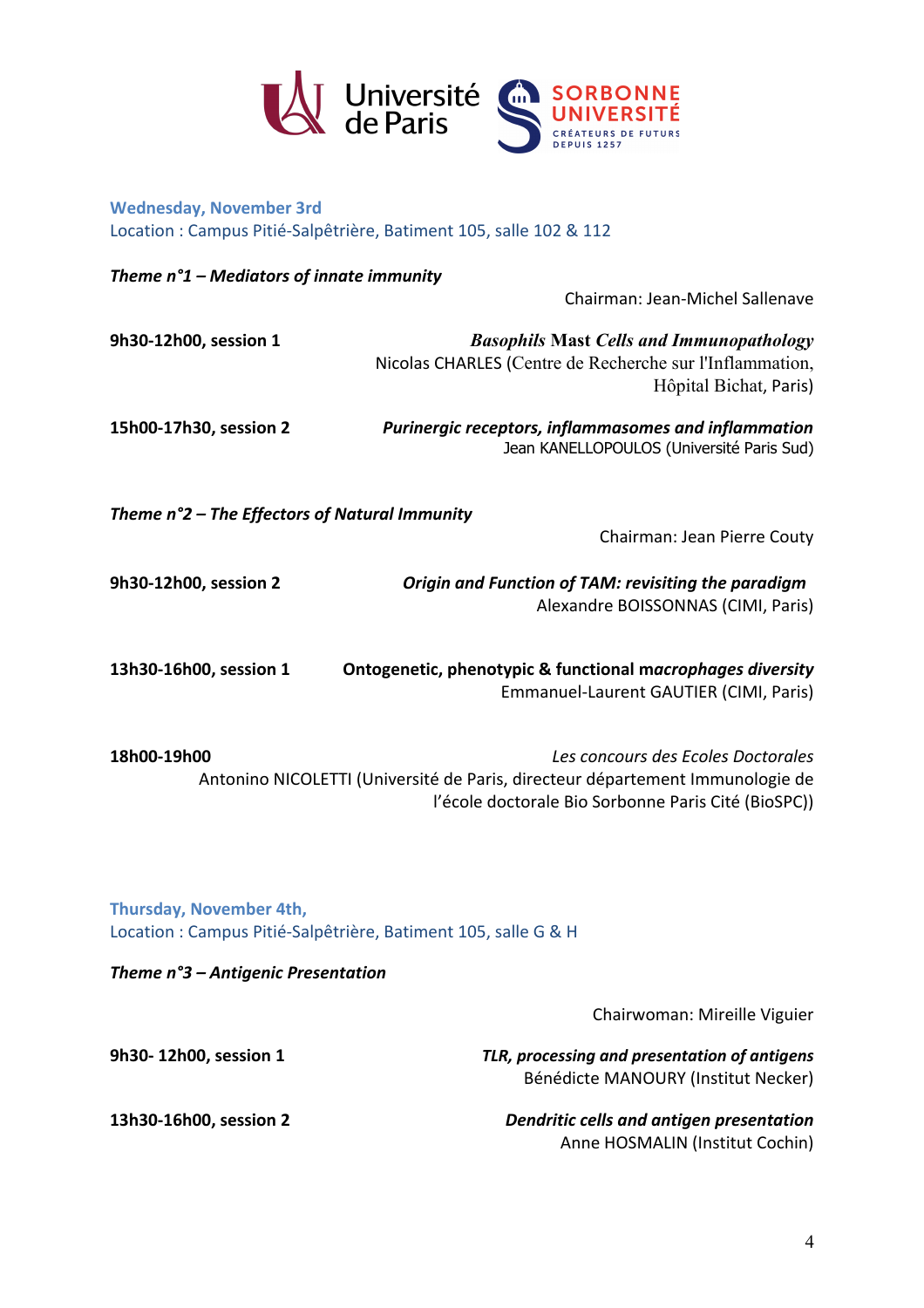

**Wednesday, November 3rd** Location : Campus Pitié-Salpêtrière, Batiment 105, salle 102 & 112

| Theme $n^{\circ}1$ – Mediators of innate immunity                                         |                                                                                                                                       |  |
|-------------------------------------------------------------------------------------------|---------------------------------------------------------------------------------------------------------------------------------------|--|
|                                                                                           | Chairman: Jean-Michel Sallenave                                                                                                       |  |
| 9h30-12h00, session 1                                                                     | <b>Basophils Mast Cells and Immunopathology</b><br>Nicolas CHARLES (Centre de Recherche sur l'Inflammation,<br>Hôpital Bichat, Paris) |  |
| 15h00-17h30, session 2                                                                    | Purinergic receptors, inflammasomes and inflammation<br>Jean KANELLOPOULOS (Université Paris Sud)                                     |  |
| Theme n°2 - The Effectors of Natural Immunity                                             |                                                                                                                                       |  |
|                                                                                           | Chairman: Jean Pierre Couty                                                                                                           |  |
| 9h30-12h00, session 2                                                                     | Origin and Function of TAM: revisiting the paradigm<br>Alexandre BOISSONNAS (CIMI, Paris)                                             |  |
| 13h30-16h00, session 1                                                                    | Ontogenetic, phenotypic & functional macrophages diversity<br>Emmanuel-Laurent GAUTIER (CIMI, Paris)                                  |  |
| 18h00-19h00                                                                               | Les concours des Ecoles Doctorales                                                                                                    |  |
|                                                                                           | Antonino NICOLETTI (Université de Paris, directeur département Immunologie de<br>l'école doctorale Bio Sorbonne Paris Cité (BioSPC))  |  |
| Thursday, November 4th,<br>Location : Campus Pitié-Salpêtrière, Batiment 105, salle G & H |                                                                                                                                       |  |
| Theme n°3 - Antigenic Presentation                                                        |                                                                                                                                       |  |
|                                                                                           | Chairwoman: Mireille Viguier                                                                                                          |  |
| 9h30-12h00, session 1                                                                     | TLR, processing and presentation of antigens<br>Bénédicte MANOURY (Institut Necker)                                                   |  |
| 13h30-16h00, session 2                                                                    | Dendritic cells and antigen presentation<br>Anne HOSMALIN (Institut Cochin)                                                           |  |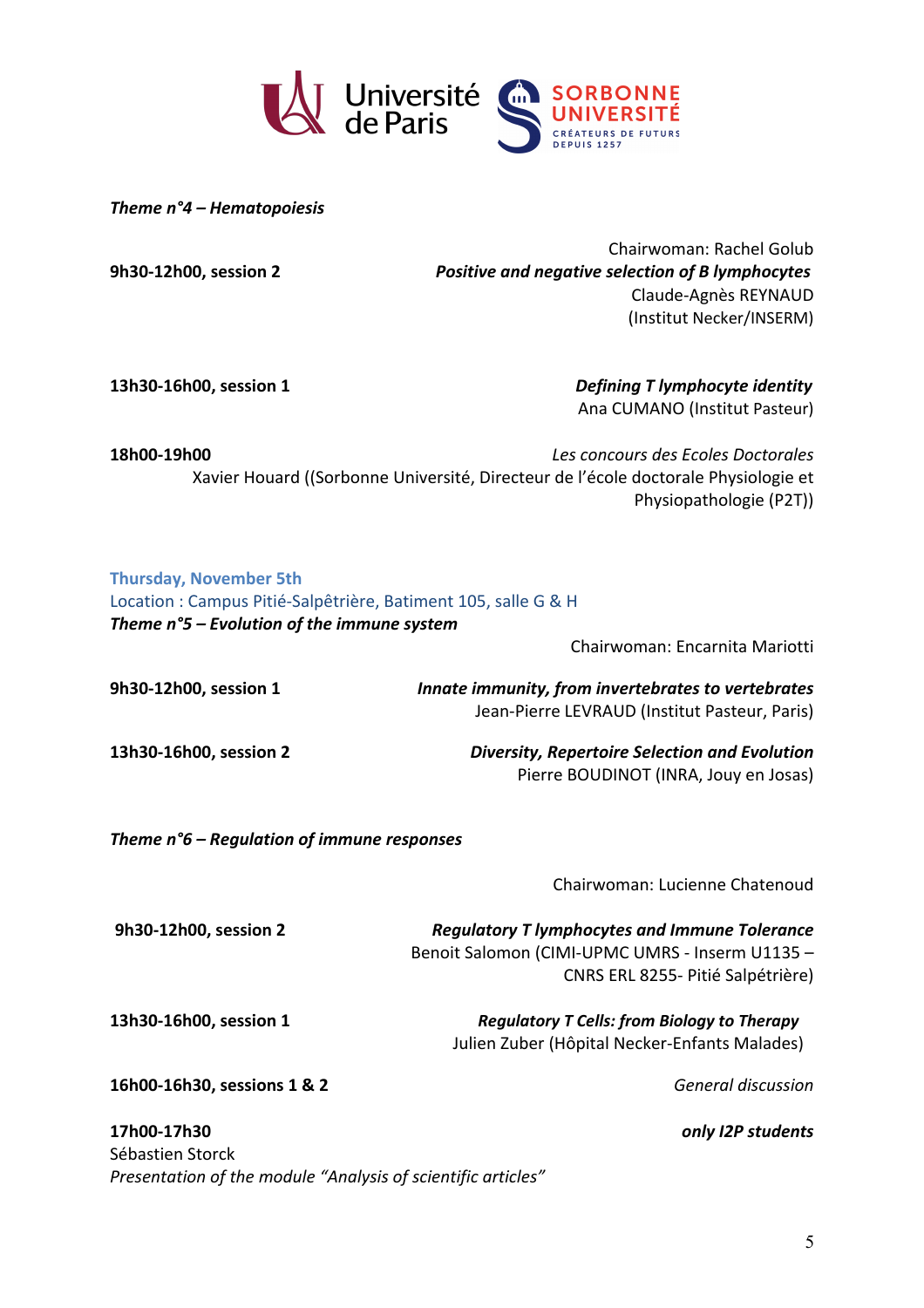

*Theme n°4 – Hematopoiesis*

Chairwoman: Rachel Golub **9h30-12h00, session 2** *Positive and negative selection of B lymphocytes* Claude-Agnès REYNAUD (Institut Necker/INSERM)

**13h30-16h00, session 1** *Defining T lymphocyte identity* Ana CUMANO (Institut Pasteur)

**18h00-19h00** *Les concours des Ecoles Doctorales*  Xavier Houard ((Sorbonne Université, Directeur de l'école doctorale Physiologie et Physiopathologie (P2T))

| <b>Thursday, November 5th</b><br>Location : Campus Pitié-Salpêtrière, Batiment 105, salle G & H |                                                                                                     |
|-------------------------------------------------------------------------------------------------|-----------------------------------------------------------------------------------------------------|
| Theme $n^{\circ}$ 5 – Evolution of the immune system                                            |                                                                                                     |
|                                                                                                 | Chairwoman: Encarnita Mariotti                                                                      |
| 9h30-12h00, session 1                                                                           | Innate immunity, from invertebrates to vertebrates<br>Jean-Pierre LEVRAUD (Institut Pasteur, Paris) |

**13h30-16h00, session 2** *Diversity, Repertoire Selection and Evolution* Pierre BOUDINOT (INRA, Jouy en Josas)

*Theme n°6 – Regulation of immune responses*

Chairwoman: Lucienne Chatenoud

**9h30-12h00, session 2** *Regulatory T lymphocytes and Immune Tolerance* Benoit Salomon (CIMI-UPMC UMRS - Inserm U1135 – CNRS ERL 8255- Pitié Salpétrière)

**13h30-16h00, session 1** *Regulatory T Cells: from Biology to Therapy* Julien Zuber (Hôpital Necker-Enfants Malades)

**16h00-16h30, sessions 1 & 2** *General discussion*

**17h00-17h30** *only I2P students* Sébastien Storck *Presentation of the module "Analysis of scientific articles"*

5